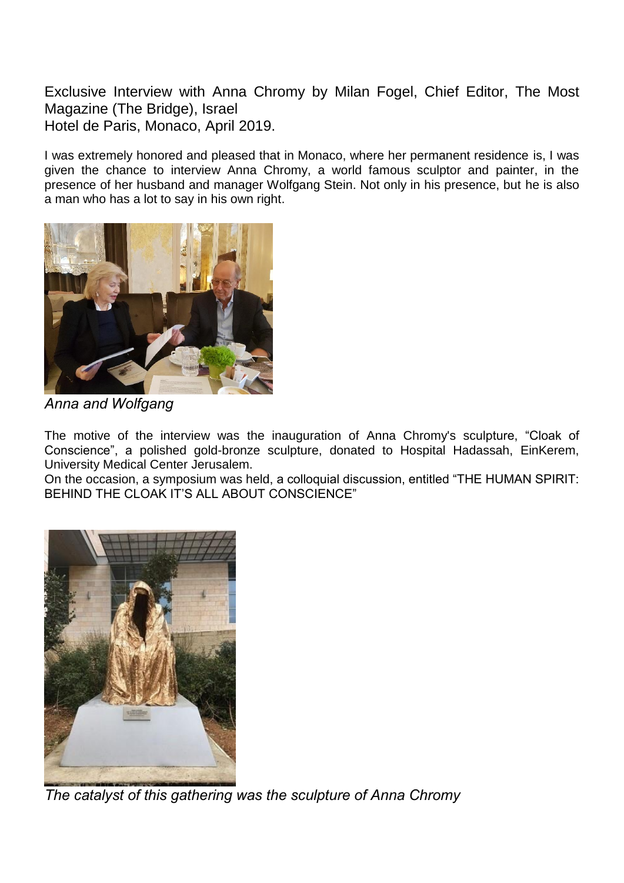Exclusive Interview with Anna Chromy by Milan Fogel, Chief Editor, The Most Magazine (The Bridge), Israel Hotel de Paris, Monaco, April 2019.

I was extremely honored and pleased that in Monaco, where her permanent residence is, I was given the chance to interview Anna Chromy, a world famous sculptor and painter, in the presence of her husband and manager Wolfgang Stein. Not only in his presence, but he is also a man who has a lot to say in his own right.



*Anna and Wolfgang* 

The motive of the interview was the inauguration of Anna Chromy's sculpture, "Cloak of Conscience", a polished gold-bronze sculpture, donated to Hospital Hadassah, EinKerem, University Medical Center Jerusalem.

On the occasion, a symposium was held, a colloquial discussion, entitled "THE HUMAN SPIRIT: BEHIND THE CLOAK IT'S ALL ABOUT CONSCIENCE"



*The catalyst of this gathering was the sculpture of Anna Chromy*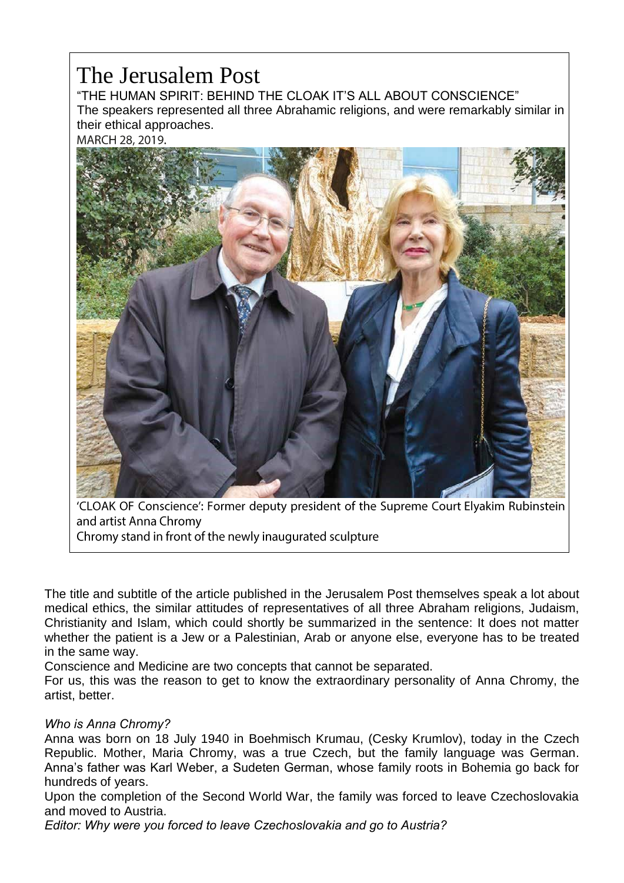## The Jerusalem Post

"THE HUMAN SPIRIT: BEHIND THE CLOAK IT'S ALL ABOUT CONSCIENCE" The speakers represented all three Abrahamic religions, and were remarkably similar in their ethical approaches.

MARCH 28, 2019.



'CLOAK OF Conscience': Former deputy president of the Supreme Court Elyakim Rubinstein and artist Anna Chromy

Chromy stand in front of the newly inaugurated sculpture

The title and subtitle of the article published in the Jerusalem Post themselves speak a lot about medical ethics, the similar attitudes of representatives of all three Abraham religions, Judaism, Christianity and Islam, which could shortly be summarized in the sentence: It does not matter whether the patient is a Jew or a Palestinian, Arab or anyone else, everyone has to be treated in the same way.

Conscience and Medicine are two concepts that cannot be separated.

For us, this was the reason to get to know the extraordinary personality of Anna Chromy, the artist, better.

## *Who is Anna Chromy?*

Anna was born on 18 July 1940 in Boehmisch Krumau, (Cesky Krumlov), today in the Czech Republic. Mother, Maria Chromy, was a true Czech, but the family language was German. Anna's father was Karl Weber, a Sudeten German, whose family roots in Bohemia go back for hundreds of years.

Upon the completion of the Second World War, the family was forced to leave Czechoslovakia and moved to Austria.

*Editor: Why were you forced to leave Czechoslovakia and go to Austria?*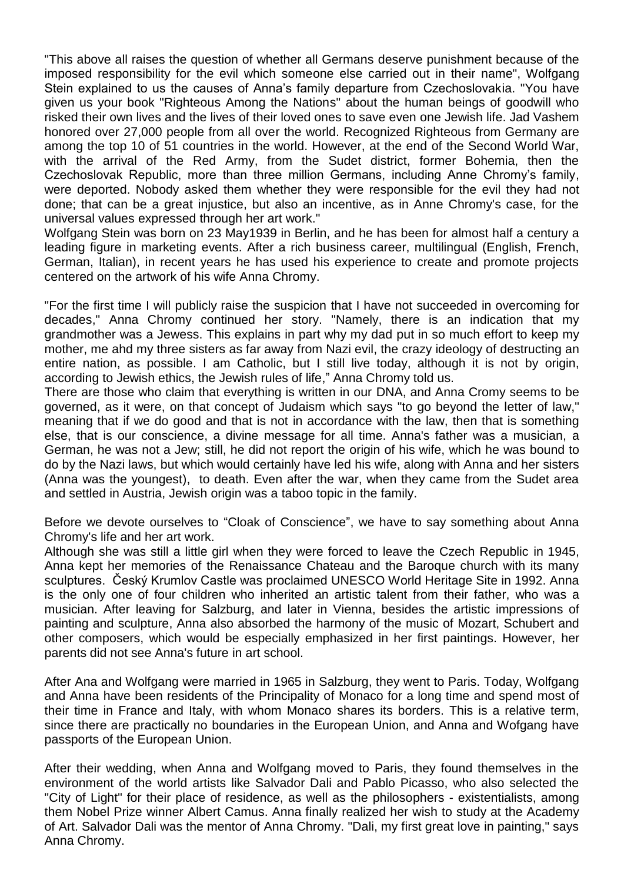"This above all raises the question of whether all Germans deserve punishment because of the imposed responsibility for the evil which someone else carried out in their name", Wolfgang Stein explained to us the causes of Anna's family departure from Czechoslovakia. "You have given us your book "Righteous Among the Nations" about the human beings of goodwill who risked their own lives and the lives of their loved ones to save even one Jewish life. Jad Vashem honored over 27,000 people from all over the world. Recognized Righteous from Germany are among the top 10 of 51 countries in the world. However, at the end of the Second World War, with the arrival of the Red Army, from the Sudet district, former Bohemia, then the Czechoslovak Republic, more than three million Germans, including Anne Chromy's family, were deported. Nobody asked them whether they were responsible for the evil they had not done; that can be a great injustice, but also an incentive, as in Anne Chromy's case, for the universal values expressed through her art work."

Wolfgang Stein was born on 23 May1939 in Berlin, and he has been for almost half a century a leading figure in marketing events. After a rich business career, multilingual (English, French, German, Italian), in recent years he has used his experience to create and promote projects centered on the artwork of his wife Anna Chromy.

"For the first time I will publicly raise the suspicion that I have not succeeded in overcoming for decades," Anna Chromy continued her story. "Namely, there is an indication that my grandmother was a Jewess. This explains in part why my dad put in so much effort to keep my mother, me ahd my three sisters as far away from Nazi evil, the crazy ideology of destructing an entire nation, as possible. I am Catholic, but I still live today, although it is not by origin, according to Jewish ethics, the Jewish rules of life," Anna Chromy told us.

There are those who claim that everything is written in our DNA, and Anna Cromy seems to be governed, as it were, on that concept of Judaism which says "to go beyond the letter of law," meaning that if we do good and that is not in accordance with the law, then that is something else, that is our conscience, a divine message for all time. Anna's father was a musician, a German, he was not a Jew; still, he did not report the origin of his wife, which he was bound to do by the Nazi laws, but which would certainly have led his wife, along with Anna and her sisters (Anna was the youngest), to death. Even after the war, when they came from the Sudet area and settled in Austria, Jewish origin was a taboo topic in the family.

Before we devote ourselves to "Cloak of Conscience", we have to say something about Anna Chromy's life and her art work.

Although she was still a little girl when they were forced to leave the Czech Republic in 1945, Anna kept her memories of the Renaissance Chateau and the Baroque church with its many sculptures. Český Krumlov Castle was proclaimed UNESCO World Heritage Site in 1992. Anna is the only one of four children who inherited an artistic talent from their father, who was a musician. After leaving for Salzburg, and later in Vienna, besides the artistic impressions of painting and sculpture, Anna also absorbed the harmony of the music of Mozart, Schubert and other composers, which would be especially emphasized in her first paintings. However, her parents did not see Anna's future in art school.

After Ana and Wolfgang were married in 1965 in Salzburg, they went to Paris. Today, Wolfgang and Anna have been residents of the Principality of Monaco for a long time and spend most of their time in France and Italy, with whom Monaco shares its borders. This is a relative term, since there are practically no boundaries in the European Union, and Anna and Wofgang have passports of the European Union.

After their wedding, when Anna and Wolfgang moved to Paris, they found themselves in the environment of the world artists like Salvador Dali and Pablo Picasso, who also selected the "City of Light" for their place of residence, as well as the philosophers - existentialists, among them Nobel Prize winner Albert Camus. Anna finally realized her wish to study at the Academy of Art. Salvador Dali was the mentor of Anna Chromy. "Dali, my first great love in painting," says Anna Chromy.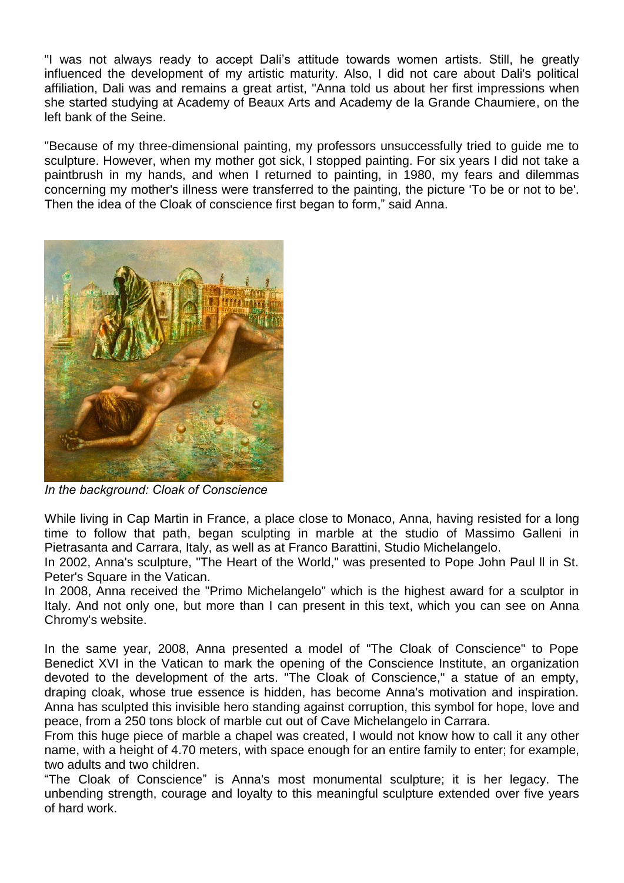"I was not always ready to accept Dali's attitude towards women artists. Still, he greatly influenced the development of my artistic maturity. Also, I did not care about Dali's political affiliation, Dali was and remains a great artist, "Anna told us about her first impressions when she started studying at Academy of Beaux Arts and Academy de la Grande Chaumiere, on the left bank of the Seine.

"Because of my three-dimensional painting, my professors unsuccessfully tried to guide me to sculpture. However, when my mother got sick, I stopped painting. For six years I did not take a paintbrush in my hands, and when I returned to painting, in 1980, my fears and dilemmas concerning my mother's illness were transferred to the painting, the picture 'To be or not to be'. Then the idea of the Cloak of conscience first began to form," said Anna.



*In the background: Cloak of Conscience*

While living in Cap Martin in France, a place close to Monaco, Anna, having resisted for a long time to follow that path, began sculpting in marble at the studio of Massimo Galleni in Pietrasanta and Carrara, Italy, as well as at Franco Barattini, Studio Michelangelo.

In 2002, Anna's sculpture, "The Heart of the World," was presented to Pope John Paul ll in St. Peter's Square in the Vatican.

In 2008, Anna received the "Primo Michelangelo" which is the highest award for a sculptor in Italy. And not only one, but more than I can present in this text, which you can see on Anna Chromy's website.

In the same year, 2008, Anna presented a model of "The Cloak of Conscience" to Pope Benedict XVI in the Vatican to mark the opening of the Conscience Institute, an organization devoted to the development of the arts. "The Cloak of Conscience," a statue of an empty, draping cloak, whose true essence is hidden, has become Anna's motivation and inspiration. Anna has sculpted this invisible hero standing against corruption, this symbol for hope, love and peace, from a 250 tons block of marble cut out of Cave Michelangelo in Carrara.

From this huge piece of marble a chapel was created, I would not know how to call it any other name, with a height of 4.70 meters, with space enough for an entire family to enter; for example, two adults and two children.

"The Cloak of Conscience" is Anna's most monumental sculpture; it is her legacy. The unbending strength, courage and loyalty to this meaningful sculpture extended over five years of hard work.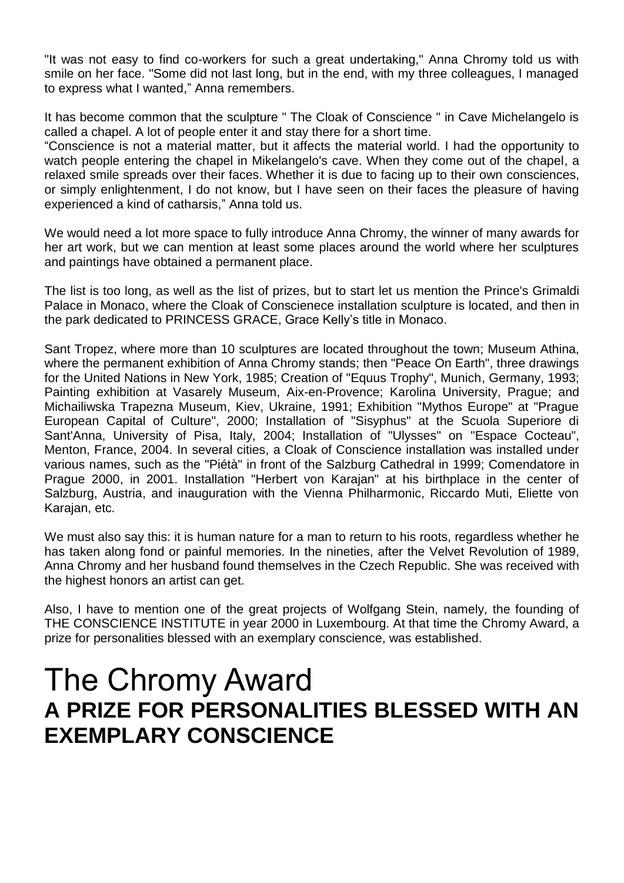"It was not easy to find co-workers for such a great undertaking," Anna Chromy told us with smile on her face. "Some did not last long, but in the end, with my three colleagues, I managed to express what I wanted," Anna remembers.

It has become common that the sculpture " The Cloak of Conscience " in Cave Michelangelo is called a chapel. A lot of people enter it and stay there for a short time.

"Conscience is not a material matter, but it affects the material world. I had the opportunity to watch people entering the chapel in Mikelangelo's cave. When they come out of the chapel, a relaxed smile spreads over their faces. Whether it is due to facing up to their own consciences, or simply enlightenment, I do not know, but I have seen on their faces the pleasure of having experienced a kind of catharsis," Anna told us.

We would need a lot more space to fully introduce Anna Chromy, the winner of many awards for her art work, but we can mention at least some places around the world where her sculptures and paintings have obtained a permanent place.

The list is too long, as well as the list of prizes, but to start let us mention the Prince's Grimaldi Palace in Monaco, where the Cloak of Conscienece installation sculpture is located, and then in the park dedicated to PRINCESS GRACE, Grace Kelly's title in Monaco.

Sant Tropez, where more than 10 sculptures are located throughout the town; Museum Athina, where the permanent exhibition of Anna Chromy stands; then "Peace On Earth", three drawings for the United Nations in New York, 1985; Creation of "Equus Trophy", Munich, Germany, 1993; Painting exhibition at Vasarely Museum, Aix-en-Provence; Karolina University, Prague; and Michailiwska Trapezna Museum, Kiev, Ukraine, 1991; Exhibition "Mythos Europe" at "Prague European Capital of Culture", 2000; Installation of "Sisyphus" at the Scuola Superiore di Sant'Anna, University of Pisa, Italy, 2004; Installation of "Ulysses" on "Espace Cocteau", Menton, France, 2004. In several cities, a Cloak of Conscience installation was installed under various names, such as the "Piétà" in front of the Salzburg Cathedral in 1999; Comendatore in Prague 2000, in 2001. Installation "Herbert von Karajan" at his birthplace in the center of Salzburg, Austria, and inauguration with the Vienna Philharmonic, Riccardo Muti, Eliette von Karajan, etc.

We must also say this: it is human nature for a man to return to his roots, regardless whether he has taken along fond or painful memories. In the nineties, after the Velvet Revolution of 1989, Anna Chromy and her husband found themselves in the Czech Republic. She was received with the highest honors an artist can get.

Also, I have to mention one of the great projects of Wolfgang Stein, namely, the founding of THE CONSCIENCE INSTITUTE in year 2000 in Luxembourg. At that time the Chromy Award, a prize for personalities blessed with an exemplary conscience, was established.

## The Chromy Award **A PRIZE FOR PERSONALITIES BLESSED WITH AN EXEMPLARY CONSCIENCE**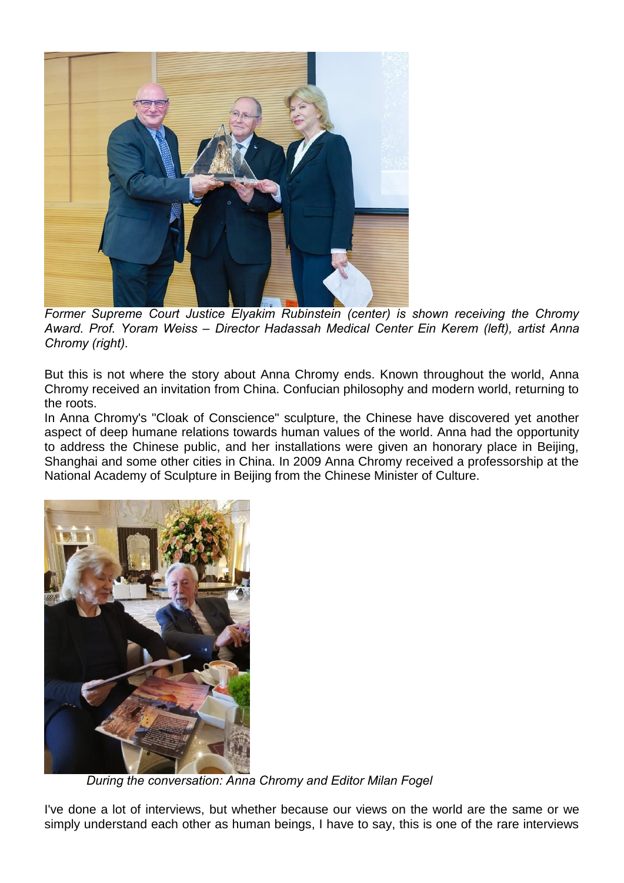

*Former Supreme Court Justice Elyakim Rubinstein (center) is shown receiving the Chromy Award. Prof. Yoram Weiss – Director Hadassah Medical Center Ein Kerem (left), artist Anna Chromy (right).* 

But this is not where the story about Anna Chromy ends. Known throughout the world, Anna Chromy received an invitation from China. Confucian philosophy and modern world, returning to the roots.

In Anna Chromy's "Cloak of Conscience" sculpture, the Chinese have discovered yet another aspect of deep humane relations towards human values of the world. Anna had the opportunity to address the Chinese public, and her installations were given an honorary place in Beijing, Shanghai and some other cities in China. In 2009 Anna Chromy received a professorship at the National Academy of Sculpture in Beijing from the Chinese Minister of Culture.



I *During the conversation: Anna Chromy and Editor Milan Fogel*

I've done a lot of interviews, but whether because our views on the world are the same or we simply understand each other as human beings, I have to say, this is one of the rare interviews